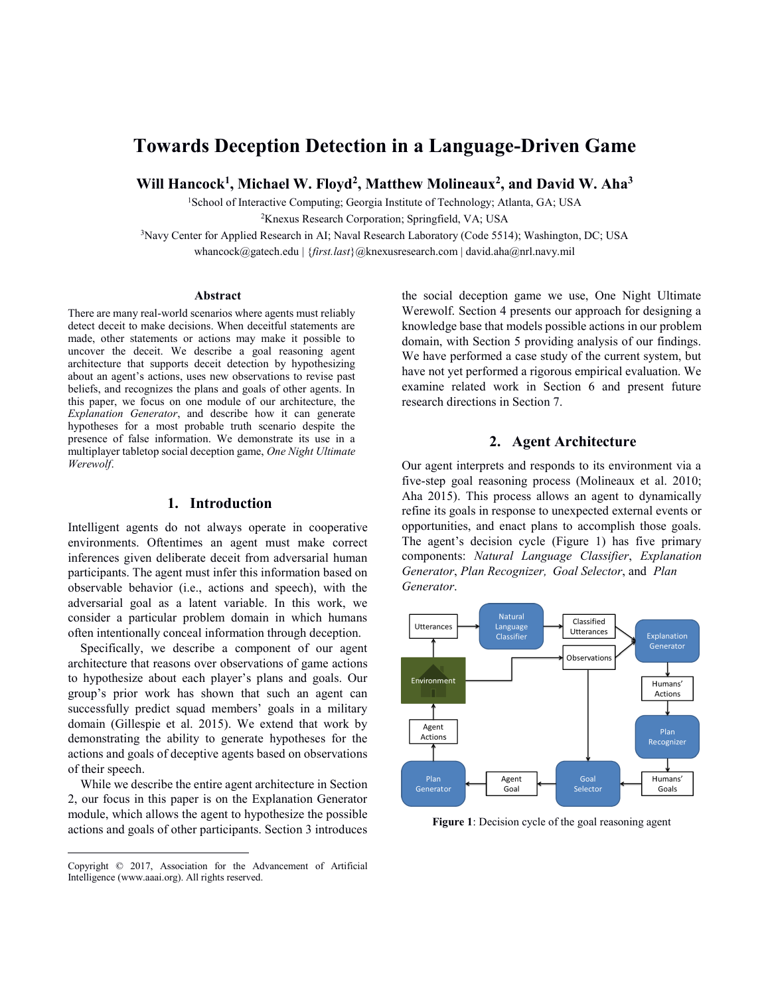# **Towards Deception Detection in a Language-Driven Game**

**Will Hancock<sup>1</sup> , Michael W. Floyd<sup>2</sup> , Matthew Molineaux<sup>2</sup> , and David W. Aha<sup>3</sup>**

<sup>1</sup>School of Interactive Computing; Georgia Institute of Technology; Atlanta, GA; USA <sup>2</sup>Knexus Research Corporation; Springfield, VA; USA

<sup>3</sup>Navy Center for Applied Research in AI; Naval Research Laboratory (Code 5514); Washington, DC; USA

whancock@gatech.edu | {*first.last*}@knexusresearch.com | david.aha@nrl.navy.mil

#### **Abstract**

There are many real-world scenarios where agents must reliably detect deceit to make decisions. When deceitful statements are made, other statements or actions may make it possible to uncover the deceit. We describe a goal reasoning agent architecture that supports deceit detection by hypothesizing about an agent's actions, uses new observations to revise past beliefs, and recognizes the plans and goals of other agents. In this paper, we focus on one module of our architecture, the *Explanation Generator*, and describe how it can generate hypotheses for a most probable truth scenario despite the presence of false information. We demonstrate its use in a multiplayer tabletop social deception game, *One Night Ultimate Werewolf*.

# **1. Introduction**

Intelligent agents do not always operate in cooperative environments. Oftentimes an agent must make correct inferences given deliberate deceit from adversarial human participants. The agent must infer this information based on observable behavior (i.e., actions and speech), with the adversarial goal as a latent variable. In this work, we consider a particular problem domain in which humans often intentionally conceal information through deception.

Specifically, we describe a component of our agent architecture that reasons over observations of game actions to hypothesize about each player's plans and goals. Our group's prior work has shown that such an agent can successfully predict squad members' goals in a military domain (Gillespie et al. 2015). We extend that work by demonstrating the ability to generate hypotheses for the actions and goals of deceptive agents based on observations of their speech.

While we describe the entire agent architecture in Section 2, our focus in this paper is on the Explanation Generator module, which allows the agent to hypothesize the possible actions and goals of other participants. Section 3 introduces

 $\overline{a}$ 

the social deception game we use, One Night Ultimate Werewolf. Section 4 presents our approach for designing a knowledge base that models possible actions in our problem domain, with Section 5 providing analysis of our findings. We have performed a case study of the current system, but have not yet performed a rigorous empirical evaluation. We examine related work in Section 6 and present future research directions in Section 7.

# **2. Agent Architecture**

Our agent interprets and responds to its environment via a five-step goal reasoning process (Molineaux et al. 2010; Aha 2015). This process allows an agent to dynamically refine its goals in response to unexpected external events or opportunities, and enact plans to accomplish those goals. The agent's decision cycle (Figure 1) has five primary components: *Natural Language Classifier*, *Explanation Generator*, *Plan Recognizer, Goal Selector*, and *Plan Generator*.



**Figure 1**: Decision cycle of the goal reasoning agent

Copyright © 2017, Association for the Advancement of Artificial Intelligence (www.aaai.org). All rights reserved.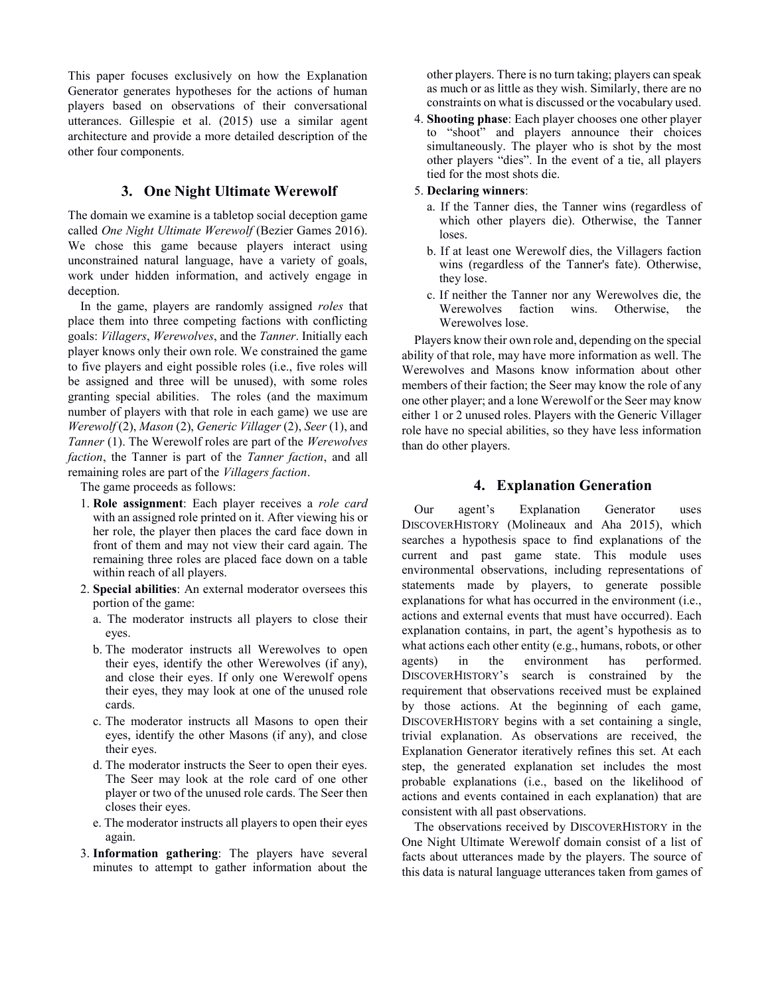This paper focuses exclusively on how the Explanation Generator generates hypotheses for the actions of human players based on observations of their conversational utterances. Gillespie et al. (2015) use a similar agent architecture and provide a more detailed description of the other four components.

# **3. One Night Ultimate Werewolf**

The domain we examine is a tabletop social deception game called *One Night Ultimate Werewolf* (Bezier Games 2016). We chose this game because players interact using unconstrained natural language, have a variety of goals, work under hidden information, and actively engage in deception.

In the game, players are randomly assigned *roles* that place them into three competing factions with conflicting goals: *Villagers*, *Werewolves*, and the *Tanner*. Initially each player knows only their own role. We constrained the game to five players and eight possible roles (i.e., five roles will be assigned and three will be unused), with some roles granting special abilities. The roles (and the maximum number of players with that role in each game) we use are *Werewolf* (2), *Mason* (2), *Generic Villager* (2), *Seer* (1), and *Tanner* (1). The Werewolf roles are part of the *Werewolves faction*, the Tanner is part of the *Tanner faction*, and all remaining roles are part of the *Villagers faction*.

The game proceeds as follows:

- 1. **Role assignment**: Each player receives a *role card* with an assigned role printed on it. After viewing his or her role, the player then places the card face down in front of them and may not view their card again. The remaining three roles are placed face down on a table within reach of all players.
- 2. **Special abilities**: An external moderator oversees this portion of the game:
	- a. The moderator instructs all players to close their eyes.
	- b. The moderator instructs all Werewolves to open their eyes, identify the other Werewolves (if any), and close their eyes. If only one Werewolf opens their eyes, they may look at one of the unused role cards.
	- c. The moderator instructs all Masons to open their eyes, identify the other Masons (if any), and close their eyes.
	- d. The moderator instructs the Seer to open their eyes. The Seer may look at the role card of one other player or two of the unused role cards. The Seer then closes their eyes.
	- e. The moderator instructs all players to open their eyes again.
- 3. **Information gathering**: The players have several minutes to attempt to gather information about the

other players. There is no turn taking; players can speak as much or as little as they wish. Similarly, there are no constraints on what is discussed or the vocabulary used.

4. **Shooting phase**: Each player chooses one other player to "shoot" and players announce their choices simultaneously. The player who is shot by the most other players "dies". In the event of a tie, all players tied for the most shots die.

#### 5. **Declaring winners**:

- a. If the Tanner dies, the Tanner wins (regardless of which other players die). Otherwise, the Tanner loses.
- b. If at least one Werewolf dies, the Villagers faction wins (regardless of the Tanner's fate). Otherwise, they lose.
- c. If neither the Tanner nor any Werewolves die, the Werewolves faction wins. Otherwise, the Werewolves lose.

Players know their own role and, depending on the special ability of that role, may have more information as well. The Werewolves and Masons know information about other members of their faction; the Seer may know the role of any one other player; and a lone Werewolf or the Seer may know either 1 or 2 unused roles. Players with the Generic Villager role have no special abilities, so they have less information than do other players.

# **4. Explanation Generation**

Our agent's Explanation Generator uses DISCOVERHISTORY (Molineaux and Aha 2015), which searches a hypothesis space to find explanations of the current and past game state. This module uses environmental observations, including representations of statements made by players, to generate possible explanations for what has occurred in the environment (i.e., actions and external events that must have occurred). Each explanation contains, in part, the agent's hypothesis as to what actions each other entity (e.g., humans, robots, or other agents) in the environment has performed. DISCOVERHISTORY's search is constrained by the requirement that observations received must be explained by those actions. At the beginning of each game, DISCOVERHISTORY begins with a set containing a single, trivial explanation. As observations are received, the Explanation Generator iteratively refines this set. At each step, the generated explanation set includes the most probable explanations (i.e., based on the likelihood of actions and events contained in each explanation) that are consistent with all past observations.

The observations received by DISCOVERHISTORY in the One Night Ultimate Werewolf domain consist of a list of facts about utterances made by the players. The source of this data is natural language utterances taken from games of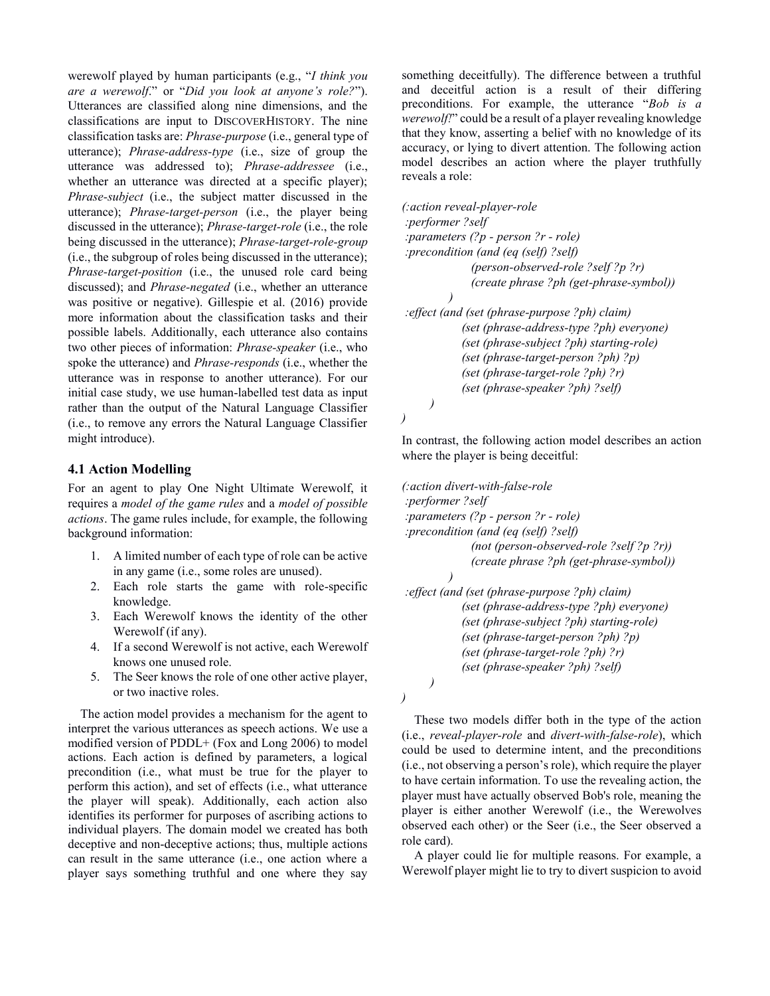werewolf played by human participants (e.g., "*I think you are a werewolf*." or "*Did you look at anyone's role?*"). Utterances are classified along nine dimensions, and the classifications are input to DISCOVERHISTORY. The nine classification tasks are: *Phrase-purpose* (i.e., general type of utterance); *Phrase-address-type* (i.e., size of group the utterance was addressed to); *Phrase-addressee* (i.e., whether an utterance was directed at a specific player); *Phrase-subject* (i.e., the subject matter discussed in the utterance); *Phrase-target-person* (i.e., the player being discussed in the utterance); *Phrase-target-role* (i.e., the role being discussed in the utterance); *Phrase-target-role-group* (i.e., the subgroup of roles being discussed in the utterance); *Phrase-target-position* (i.e., the unused role card being discussed); and *Phrase-negated* (i.e., whether an utterance was positive or negative). Gillespie et al. (2016) provide more information about the classification tasks and their possible labels. Additionally, each utterance also contains two other pieces of information: *Phrase-speaker* (i.e., who spoke the utterance) and *Phrase-responds* (i.e., whether the utterance was in response to another utterance). For our initial case study, we use human-labelled test data as input rather than the output of the Natural Language Classifier (i.e., to remove any errors the Natural Language Classifier might introduce).

### **4.1 Action Modelling**

For an agent to play One Night Ultimate Werewolf, it requires a *model of the game rules* and a *model of possible actions*. The game rules include, for example, the following background information:

- 1. A limited number of each type of role can be active in any game (i.e., some roles are unused).
- 2. Each role starts the game with role-specific knowledge.
- 3. Each Werewolf knows the identity of the other Werewolf (if any).
- 4. If a second Werewolf is not active, each Werewolf knows one unused role.
- 5. The Seer knows the role of one other active player, or two inactive roles.

The action model provides a mechanism for the agent to interpret the various utterances as speech actions. We use a modified version of PDDL+ (Fox and Long 2006) to model actions. Each action is defined by parameters, a logical precondition (i.e., what must be true for the player to perform this action), and set of effects (i.e., what utterance the player will speak). Additionally, each action also identifies its performer for purposes of ascribing actions to individual players. The domain model we created has both deceptive and non-deceptive actions; thus, multiple actions can result in the same utterance (i.e., one action where a player says something truthful and one where they say

something deceitfully). The difference between a truthful and deceitful action is a result of their differing preconditions. For example, the utterance "*Bob is a werewolf!*" could be a result of a player revealing knowledge that they know, asserting a belief with no knowledge of its accuracy, or lying to divert attention. The following action model describes an action where the player truthfully reveals a role:

```
(:action reveal-player-role
:performer ?self
:parameters (?p - person ?r - role)
:precondition (and (eq (self) ?self)
               (person-observed-role ?self ?p ?r)
               (create phrase ?ph (get-phrase-symbol))
          )
:effect (and (set (phrase-purpose ?ph) claim)
             (set (phrase-address-type ?ph) everyone)
             (set (phrase-subject ?ph) starting-role)
             (set (phrase-target-person ?ph) ?p)
             (set (phrase-target-role ?ph) ?r)
             (set (phrase-speaker ?ph) ?self)
      )
)
```
In contrast, the following action model describes an action where the player is being deceitful:

```
(:action divert-with-false-role
:performer ?self
 :parameters (?p - person ?r - role)
 :precondition (and (eq (self) ?self)
               (not (person-observed-role ?self ?p ?r))
               (create phrase ?ph (get-phrase-symbol))
 )
 :effect (and (set (phrase-purpose ?ph) claim)
             (set (phrase-address-type ?ph) everyone)
             (set (phrase-subject ?ph) starting-role)
             (set (phrase-target-person ?ph) ?p)
             (set (phrase-target-role ?ph) ?r)
             (set (phrase-speaker ?ph) ?self)
      )
)
```
These two models differ both in the type of the action (i.e., *reveal-player-role* and *divert-with-false-role*), which could be used to determine intent, and the preconditions (i.e., not observing a person's role), which require the player to have certain information. To use the revealing action, the player must have actually observed Bob's role, meaning the player is either another Werewolf (i.e., the Werewolves observed each other) or the Seer (i.e., the Seer observed a role card).

A player could lie for multiple reasons. For example, a Werewolf player might lie to try to divert suspicion to avoid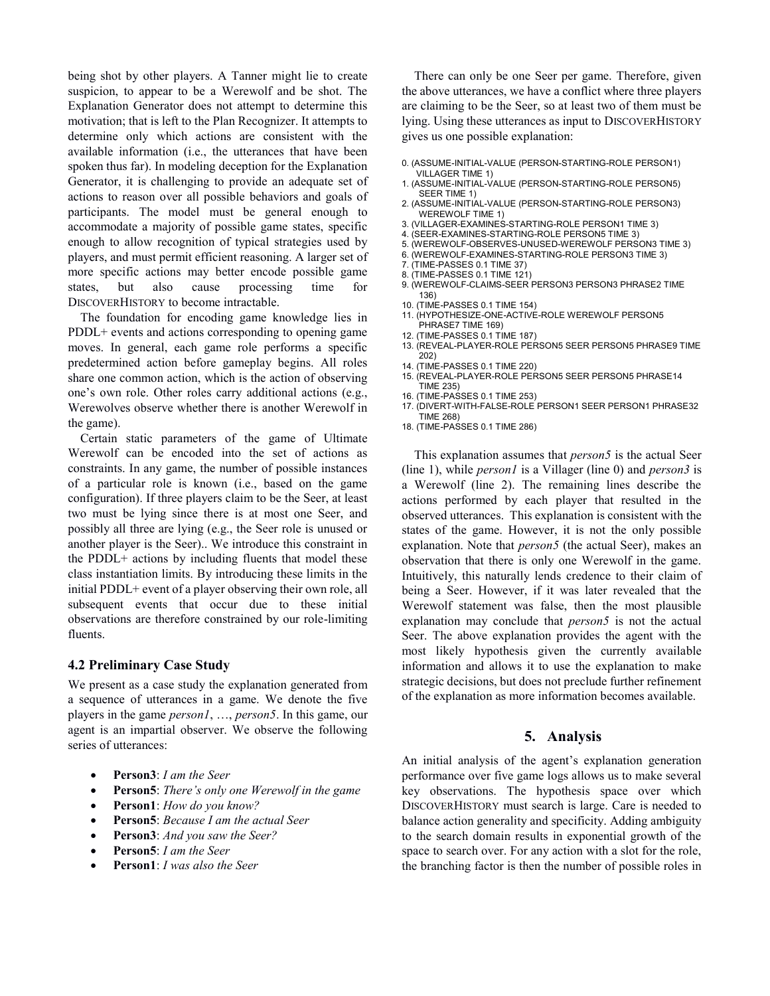being shot by other players. A Tanner might lie to create suspicion, to appear to be a Werewolf and be shot. The Explanation Generator does not attempt to determine this motivation; that is left to the Plan Recognizer. It attempts to determine only which actions are consistent with the available information (i.e., the utterances that have been spoken thus far). In modeling deception for the Explanation Generator, it is challenging to provide an adequate set of actions to reason over all possible behaviors and goals of participants. The model must be general enough to accommodate a majority of possible game states, specific enough to allow recognition of typical strategies used by players, and must permit efficient reasoning. A larger set of more specific actions may better encode possible game states, but also cause processing time for DISCOVERHISTORY to become intractable.

The foundation for encoding game knowledge lies in PDDL+ events and actions corresponding to opening game moves. In general, each game role performs a specific predetermined action before gameplay begins. All roles share one common action, which is the action of observing one's own role. Other roles carry additional actions (e.g., Werewolves observe whether there is another Werewolf in the game).

Certain static parameters of the game of Ultimate Werewolf can be encoded into the set of actions as constraints. In any game, the number of possible instances of a particular role is known (i.e., based on the game configuration). If three players claim to be the Seer, at least two must be lying since there is at most one Seer, and possibly all three are lying (e.g., the Seer role is unused or another player is the Seer).. We introduce this constraint in the PDDL+ actions by including fluents that model these class instantiation limits. By introducing these limits in the initial PDDL+ event of a player observing their own role, all subsequent events that occur due to these initial observations are therefore constrained by our role-limiting fluents.

### **4.2 Preliminary Case Study**

We present as a case study the explanation generated from a sequence of utterances in a game. We denote the five players in the game *person1*, …, *person5*. In this game, our agent is an impartial observer. We observe the following series of utterances:

- **Person3**: *I am the Seer*
- **Person5**: *There's only one Werewolf in the game*
- **Person1**: *How do you know?*
- **Person5**: *Because I am the actual Seer*
- **Person3**: *And you saw the Seer?*
- **Person5**: *I am the Seer*
- **Person1**: *I was also the Seer*

There can only be one Seer per game. Therefore, given the above utterances, we have a conflict where three players are claiming to be the Seer, so at least two of them must be lying. Using these utterances as input to DISCOVERHISTORY gives us one possible explanation:

- 0. (ASSUME-INITIAL-VALUE (PERSON-STARTING-ROLE PERSON1) VILLAGER TIME 1)
- 1. (ASSUME-INITIAL-VALUE (PERSON-STARTING-ROLE PERSON5) SEER TIME 1)
- 2. (ASSUME-INITIAL-VALUE (PERSON-STARTING-ROLE PERSON3) WEREWOLF TIME 1)
- 3. (VILLAGER-EXAMINES-STARTING-ROLE PERSON1 TIME 3)
- 4. (SEER-EXAMINES-STARTING-ROLE PERSON5 TIME 3)
- 5. (WEREWOLF-OBSERVES-UNUSED-WEREWOLF PERSON3 TIME 3) 6. (WEREWOLF-EXAMINES-STARTING-ROLE PERSON3 TIME 3)
- 7. (TIME-PASSES 0.1 TIME 37)
- 8. (TIME-PASSES 0.1 TIME 121)
- 9. (WEREWOLF-CLAIMS-SEER PERSON3 PERSON3 PHRASE2 TIME 136)
- 10. (TIME-PASSES 0.1 TIME 154)
- 11. (HYPOTHESIZE-ONE-ACTIVE-ROLE WEREWOLF PERSON5 PHRASE7 TIME 169)
- 12. (TIME-PASSES 0.1 TIME 187)
- 13. (REVEAL-PLAYER-ROLE PERSON5 SEER PERSON5 PHRASE9 TIME 202)
- 14. (TIME-PASSES 0.1 TIME 220)
- 15. (REVEAL-PLAYER-ROLE PERSON5 SEER PERSON5 PHRASE14 TIME 235) 16. (TIME-PASSES 0.1 TIME 253)
- 17. (DIVERT-WITH-FALSE-ROLE PERSON1 SEER PERSON1 PHRASE32 TIME 268)
- 18. (TIME-PASSES 0.1 TIME 286)

This explanation assumes that *person5* is the actual Seer (line 1), while *person1* is a Villager (line 0) and *person3* is a Werewolf (line 2). The remaining lines describe the actions performed by each player that resulted in the observed utterances. This explanation is consistent with the states of the game. However, it is not the only possible explanation. Note that *person5* (the actual Seer), makes an observation that there is only one Werewolf in the game. Intuitively, this naturally lends credence to their claim of being a Seer. However, if it was later revealed that the Werewolf statement was false, then the most plausible explanation may conclude that *person5* is not the actual Seer. The above explanation provides the agent with the most likely hypothesis given the currently available information and allows it to use the explanation to make strategic decisions, but does not preclude further refinement of the explanation as more information becomes available.

# **5. Analysis**

An initial analysis of the agent's explanation generation performance over five game logs allows us to make several key observations. The hypothesis space over which DISCOVERHISTORY must search is large. Care is needed to balance action generality and specificity. Adding ambiguity to the search domain results in exponential growth of the space to search over. For any action with a slot for the role, the branching factor is then the number of possible roles in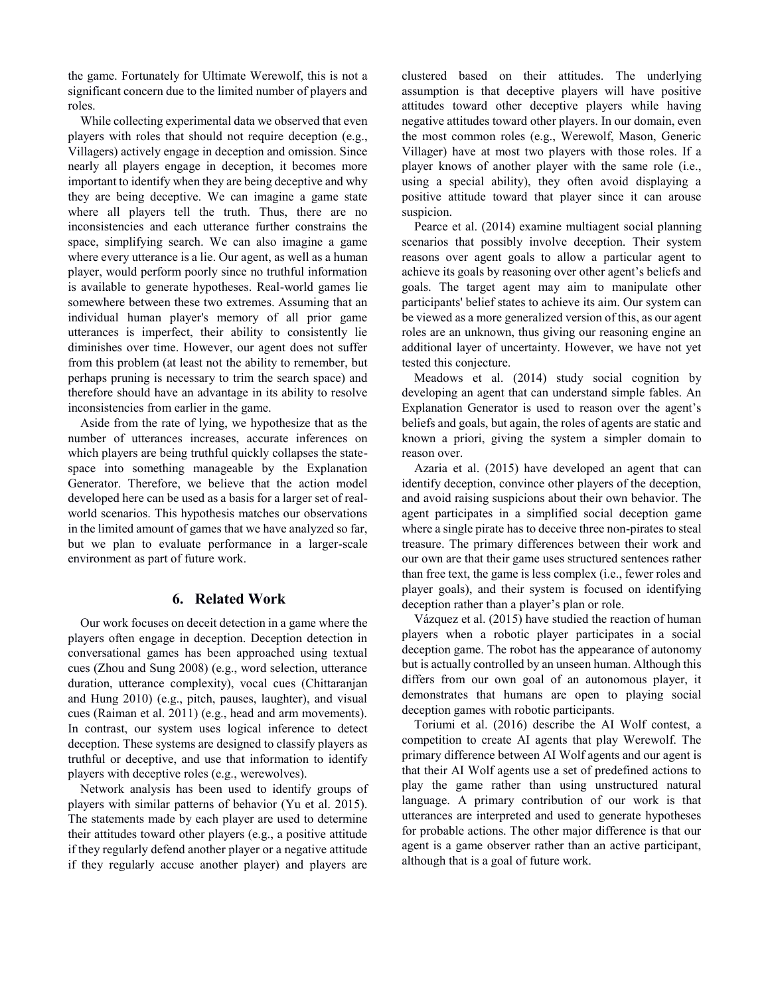the game. Fortunately for Ultimate Werewolf, this is not a significant concern due to the limited number of players and roles.

While collecting experimental data we observed that even players with roles that should not require deception (e.g., Villagers) actively engage in deception and omission. Since nearly all players engage in deception, it becomes more important to identify when they are being deceptive and why they are being deceptive. We can imagine a game state where all players tell the truth. Thus, there are no inconsistencies and each utterance further constrains the space, simplifying search. We can also imagine a game where every utterance is a lie. Our agent, as well as a human player, would perform poorly since no truthful information is available to generate hypotheses. Real-world games lie somewhere between these two extremes. Assuming that an individual human player's memory of all prior game utterances is imperfect, their ability to consistently lie diminishes over time. However, our agent does not suffer from this problem (at least not the ability to remember, but perhaps pruning is necessary to trim the search space) and therefore should have an advantage in its ability to resolve inconsistencies from earlier in the game.

Aside from the rate of lying, we hypothesize that as the number of utterances increases, accurate inferences on which players are being truthful quickly collapses the statespace into something manageable by the Explanation Generator. Therefore, we believe that the action model developed here can be used as a basis for a larger set of realworld scenarios. This hypothesis matches our observations in the limited amount of games that we have analyzed so far, but we plan to evaluate performance in a larger-scale environment as part of future work.

# **6. Related Work**

Our work focuses on deceit detection in a game where the players often engage in deception. Deception detection in conversational games has been approached using textual cues (Zhou and Sung 2008) (e.g., word selection, utterance duration, utterance complexity), vocal cues (Chittaranjan and Hung 2010) (e.g., pitch, pauses, laughter), and visual cues (Raiman et al. 2011) (e.g., head and arm movements). In contrast, our system uses logical inference to detect deception. These systems are designed to classify players as truthful or deceptive, and use that information to identify players with deceptive roles (e.g., werewolves).

Network analysis has been used to identify groups of players with similar patterns of behavior (Yu et al. 2015). The statements made by each player are used to determine their attitudes toward other players (e.g., a positive attitude if they regularly defend another player or a negative attitude if they regularly accuse another player) and players are

clustered based on their attitudes. The underlying assumption is that deceptive players will have positive attitudes toward other deceptive players while having negative attitudes toward other players. In our domain, even the most common roles (e.g., Werewolf, Mason, Generic Villager) have at most two players with those roles. If a player knows of another player with the same role (i.e., using a special ability), they often avoid displaying a positive attitude toward that player since it can arouse suspicion.

Pearce et al. (2014) examine multiagent social planning scenarios that possibly involve deception. Their system reasons over agent goals to allow a particular agent to achieve its goals by reasoning over other agent's beliefs and goals. The target agent may aim to manipulate other participants' belief states to achieve its aim. Our system can be viewed as a more generalized version of this, as our agent roles are an unknown, thus giving our reasoning engine an additional layer of uncertainty. However, we have not yet tested this conjecture.

Meadows et al. (2014) study social cognition by developing an agent that can understand simple fables. An Explanation Generator is used to reason over the agent's beliefs and goals, but again, the roles of agents are static and known a priori, giving the system a simpler domain to reason over.

Azaria et al. (2015) have developed an agent that can identify deception, convince other players of the deception, and avoid raising suspicions about their own behavior. The agent participates in a simplified social deception game where a single pirate has to deceive three non-pirates to steal treasure. The primary differences between their work and our own are that their game uses structured sentences rather than free text, the game is less complex (i.e., fewer roles and player goals), and their system is focused on identifying deception rather than a player's plan or role.

Vázquez et al. (2015) have studied the reaction of human players when a robotic player participates in a social deception game. The robot has the appearance of autonomy but is actually controlled by an unseen human. Although this differs from our own goal of an autonomous player, it demonstrates that humans are open to playing social deception games with robotic participants.

Toriumi et al. (2016) describe the AI Wolf contest, a competition to create AI agents that play Werewolf. The primary difference between AI Wolf agents and our agent is that their AI Wolf agents use a set of predefined actions to play the game rather than using unstructured natural language. A primary contribution of our work is that utterances are interpreted and used to generate hypotheses for probable actions. The other major difference is that our agent is a game observer rather than an active participant, although that is a goal of future work.